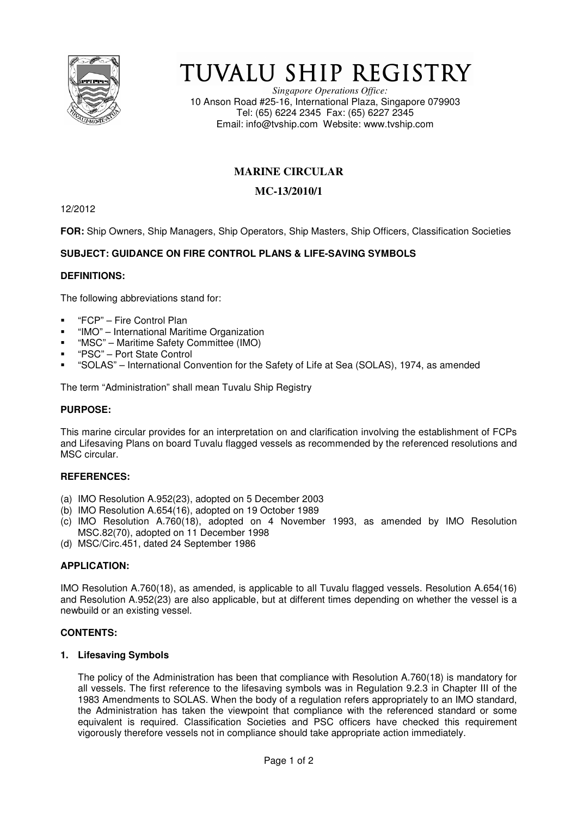

# TUVALU SHIP REGISTRY

*Singapore Operations Office:* 10 Anson Road #25-16, International Plaza, Singapore 079903 Tel: (65) 6224 2345 Fax: (65) 6227 2345 Email: info@tvship.com Website: www.tvship.com

## **MARINE CIRCULAR**

## **MC-13/2010/1**

12/2012

**FOR:** Ship Owners, Ship Managers, Ship Operators, Ship Masters, Ship Officers, Classification Societies

## **SUBJECT: GUIDANCE ON FIRE CONTROL PLANS & LIFE-SAVING SYMBOLS**

#### **DEFINITIONS:**

The following abbreviations stand for:

- "FCP" Fire Control Plan
- "IMO" International Maritime Organization
- "MSC" Maritime Safety Committee (IMO)
- "PSC" Port State Control
- "SOLAS" International Convention for the Safety of Life at Sea (SOLAS), 1974, as amended

The term "Administration" shall mean Tuvalu Ship Registry

#### **PURPOSE:**

This marine circular provides for an interpretation on and clarification involving the establishment of FCPs and Lifesaving Plans on board Tuvalu flagged vessels as recommended by the referenced resolutions and MSC circular.

#### **REFERENCES:**

- (a) IMO Resolution A.952(23), adopted on 5 December 2003
- (b) IMO Resolution A.654(16), adopted on 19 October 1989
- (c) IMO Resolution A.760(18), adopted on 4 November 1993, as amended by IMO Resolution MSC.82(70), adopted on 11 December 1998
- (d) MSC/Circ.451, dated 24 September 1986

#### **APPLICATION:**

IMO Resolution A.760(18), as amended, is applicable to all Tuvalu flagged vessels. Resolution A.654(16) and Resolution A.952(23) are also applicable, but at different times depending on whether the vessel is a newbuild or an existing vessel.

#### **CONTENTS:**

#### **1. Lifesaving Symbols**

The policy of the Administration has been that compliance with Resolution A.760(18) is mandatory for all vessels. The first reference to the lifesaving symbols was in Regulation 9.2.3 in Chapter III of the 1983 Amendments to SOLAS. When the body of a regulation refers appropriately to an IMO standard, the Administration has taken the viewpoint that compliance with the referenced standard or some equivalent is required. Classification Societies and PSC officers have checked this requirement vigorously therefore vessels not in compliance should take appropriate action immediately.